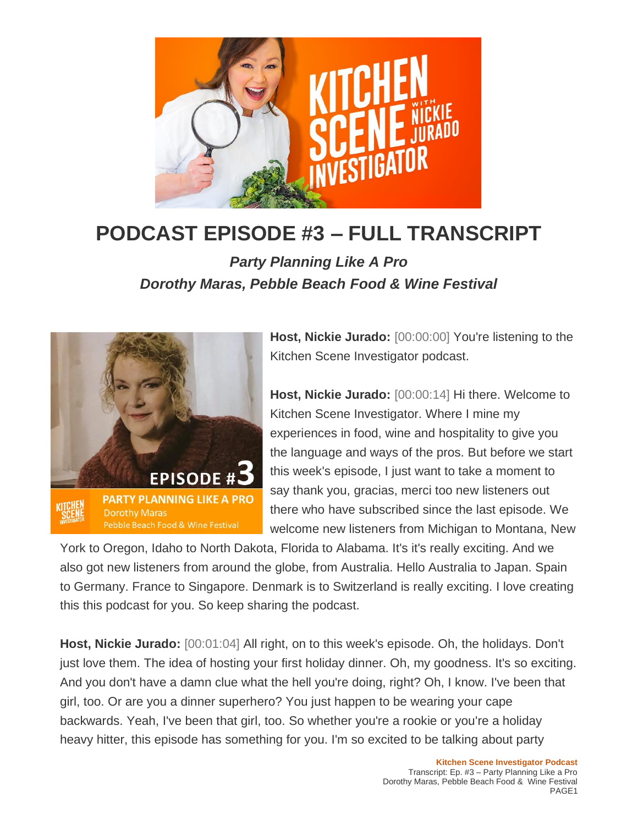

## **PODCAST EPISODE #3 – FULL TRANSCRIPT**

*Party Planning Like A Pro Dorothy Maras, Pebble Beach Food & Wine Festival*



**Host, Nickie Jurado:** [00:00:00] You're listening to the Kitchen Scene Investigator podcast.

**Host, Nickie Jurado:** [00:00:14] Hi there. Welcome to Kitchen Scene Investigator. Where I mine my experiences in food, wine and hospitality to give you the language and ways of the pros. But before we start this week's episode, I just want to take a moment to say thank you, gracias, merci too new listeners out there who have subscribed since the last episode. We welcome new listeners from Michigan to Montana, New

York to Oregon, Idaho to North Dakota, Florida to Alabama. It's it's really exciting. And we also got new listeners from around the globe, from Australia. Hello Australia to Japan. Spain to Germany. France to Singapore. Denmark is to Switzerland is really exciting. I love creating this this podcast for you. So keep sharing the podcast.

**Host, Nickie Jurado:** [00:01:04] All right, on to this week's episode. Oh, the holidays. Don't just love them. The idea of hosting your first holiday dinner. Oh, my goodness. It's so exciting. And you don't have a damn clue what the hell you're doing, right? Oh, I know. I've been that girl, too. Or are you a dinner superhero? You just happen to be wearing your cape backwards. Yeah, I've been that girl, too. So whether you're a rookie or you're a holiday heavy hitter, this episode has something for you. I'm so excited to be talking about party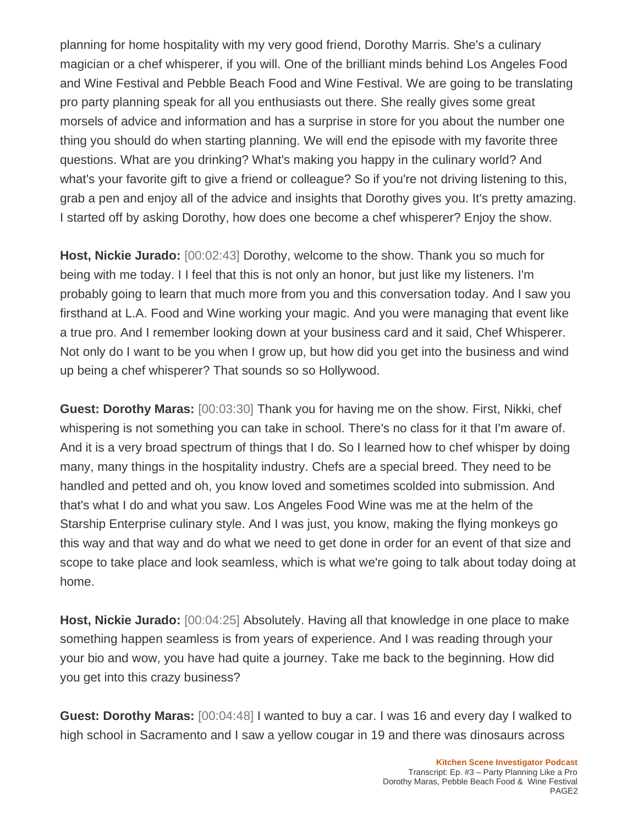planning for home hospitality with my very good friend, Dorothy Marris. She's a culinary magician or a chef whisperer, if you will. One of the brilliant minds behind Los Angeles Food and Wine Festival and Pebble Beach Food and Wine Festival. We are going to be translating pro party planning speak for all you enthusiasts out there. She really gives some great morsels of advice and information and has a surprise in store for you about the number one thing you should do when starting planning. We will end the episode with my favorite three questions. What are you drinking? What's making you happy in the culinary world? And what's your favorite gift to give a friend or colleague? So if you're not driving listening to this, grab a pen and enjoy all of the advice and insights that Dorothy gives you. It's pretty amazing. I started off by asking Dorothy, how does one become a chef whisperer? Enjoy the show.

**Host, Nickie Jurado:** [00:02:43] Dorothy, welcome to the show. Thank you so much for being with me today. I I feel that this is not only an honor, but just like my listeners. I'm probably going to learn that much more from you and this conversation today. And I saw you firsthand at L.A. Food and Wine working your magic. And you were managing that event like a true pro. And I remember looking down at your business card and it said, Chef Whisperer. Not only do I want to be you when I grow up, but how did you get into the business and wind up being a chef whisperer? That sounds so so Hollywood.

**Guest: Dorothy Maras:** [00:03:30] Thank you for having me on the show. First, Nikki, chef whispering is not something you can take in school. There's no class for it that I'm aware of. And it is a very broad spectrum of things that I do. So I learned how to chef whisper by doing many, many things in the hospitality industry. Chefs are a special breed. They need to be handled and petted and oh, you know loved and sometimes scolded into submission. And that's what I do and what you saw. Los Angeles Food Wine was me at the helm of the Starship Enterprise culinary style. And I was just, you know, making the flying monkeys go this way and that way and do what we need to get done in order for an event of that size and scope to take place and look seamless, which is what we're going to talk about today doing at home.

**Host, Nickie Jurado:** [00:04:25] Absolutely. Having all that knowledge in one place to make something happen seamless is from years of experience. And I was reading through your your bio and wow, you have had quite a journey. Take me back to the beginning. How did you get into this crazy business?

**Guest: Dorothy Maras:** [00:04:48] I wanted to buy a car. I was 16 and every day I walked to high school in Sacramento and I saw a yellow cougar in 19 and there was dinosaurs across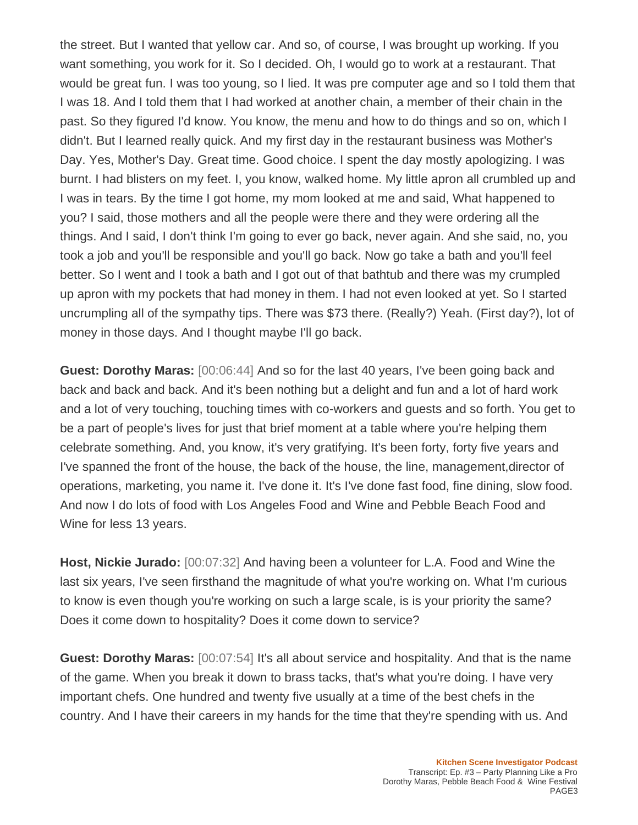the street. But I wanted that yellow car. And so, of course, I was brought up working. If you want something, you work for it. So I decided. Oh, I would go to work at a restaurant. That would be great fun. I was too young, so I lied. It was pre computer age and so I told them that I was 18. And I told them that I had worked at another chain, a member of their chain in the past. So they figured I'd know. You know, the menu and how to do things and so on, which I didn't. But I learned really quick. And my first day in the restaurant business was Mother's Day. Yes, Mother's Day. Great time. Good choice. I spent the day mostly apologizing. I was burnt. I had blisters on my feet. I, you know, walked home. My little apron all crumbled up and I was in tears. By the time I got home, my mom looked at me and said, What happened to you? I said, those mothers and all the people were there and they were ordering all the things. And I said, I don't think I'm going to ever go back, never again. And she said, no, you took a job and you'll be responsible and you'll go back. Now go take a bath and you'll feel better. So I went and I took a bath and I got out of that bathtub and there was my crumpled up apron with my pockets that had money in them. I had not even looked at yet. So I started uncrumpling all of the sympathy tips. There was \$73 there. (Really?) Yeah. (First day?), lot of money in those days. And I thought maybe I'll go back.

**Guest: Dorothy Maras:** [00:06:44] And so for the last 40 years, I've been going back and back and back and back. And it's been nothing but a delight and fun and a lot of hard work and a lot of very touching, touching times with co-workers and guests and so forth. You get to be a part of people's lives for just that brief moment at a table where you're helping them celebrate something. And, you know, it's very gratifying. It's been forty, forty five years and I've spanned the front of the house, the back of the house, the line, management,director of operations, marketing, you name it. I've done it. It's I've done fast food, fine dining, slow food. And now I do lots of food with Los Angeles Food and Wine and Pebble Beach Food and Wine for less 13 years.

**Host, Nickie Jurado:** [00:07:32] And having been a volunteer for L.A. Food and Wine the last six years, I've seen firsthand the magnitude of what you're working on. What I'm curious to know is even though you're working on such a large scale, is is your priority the same? Does it come down to hospitality? Does it come down to service?

**Guest: Dorothy Maras:** [00:07:54] It's all about service and hospitality. And that is the name of the game. When you break it down to brass tacks, that's what you're doing. I have very important chefs. One hundred and twenty five usually at a time of the best chefs in the country. And I have their careers in my hands for the time that they're spending with us. And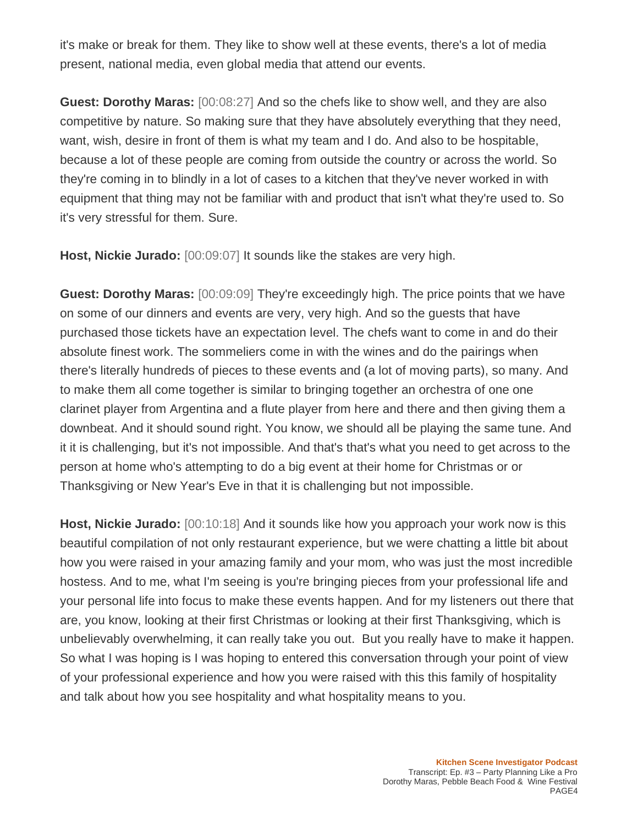it's make or break for them. They like to show well at these events, there's a lot of media present, national media, even global media that attend our events.

**Guest: Dorothy Maras:** [00:08:27] And so the chefs like to show well, and they are also competitive by nature. So making sure that they have absolutely everything that they need, want, wish, desire in front of them is what my team and I do. And also to be hospitable, because a lot of these people are coming from outside the country or across the world. So they're coming in to blindly in a lot of cases to a kitchen that they've never worked in with equipment that thing may not be familiar with and product that isn't what they're used to. So it's very stressful for them. Sure.

**Host, Nickie Jurado:** [00:09:07] It sounds like the stakes are very high.

**Guest: Dorothy Maras:** [00:09:09] They're exceedingly high. The price points that we have on some of our dinners and events are very, very high. And so the guests that have purchased those tickets have an expectation level. The chefs want to come in and do their absolute finest work. The sommeliers come in with the wines and do the pairings when there's literally hundreds of pieces to these events and (a lot of moving parts), so many. And to make them all come together is similar to bringing together an orchestra of one one clarinet player from Argentina and a flute player from here and there and then giving them a downbeat. And it should sound right. You know, we should all be playing the same tune. And it it is challenging, but it's not impossible. And that's that's what you need to get across to the person at home who's attempting to do a big event at their home for Christmas or or Thanksgiving or New Year's Eve in that it is challenging but not impossible.

**Host, Nickie Jurado:** [00:10:18] And it sounds like how you approach your work now is this beautiful compilation of not only restaurant experience, but we were chatting a little bit about how you were raised in your amazing family and your mom, who was just the most incredible hostess. And to me, what I'm seeing is you're bringing pieces from your professional life and your personal life into focus to make these events happen. And for my listeners out there that are, you know, looking at their first Christmas or looking at their first Thanksgiving, which is unbelievably overwhelming, it can really take you out. But you really have to make it happen. So what I was hoping is I was hoping to entered this conversation through your point of view of your professional experience and how you were raised with this this family of hospitality and talk about how you see hospitality and what hospitality means to you.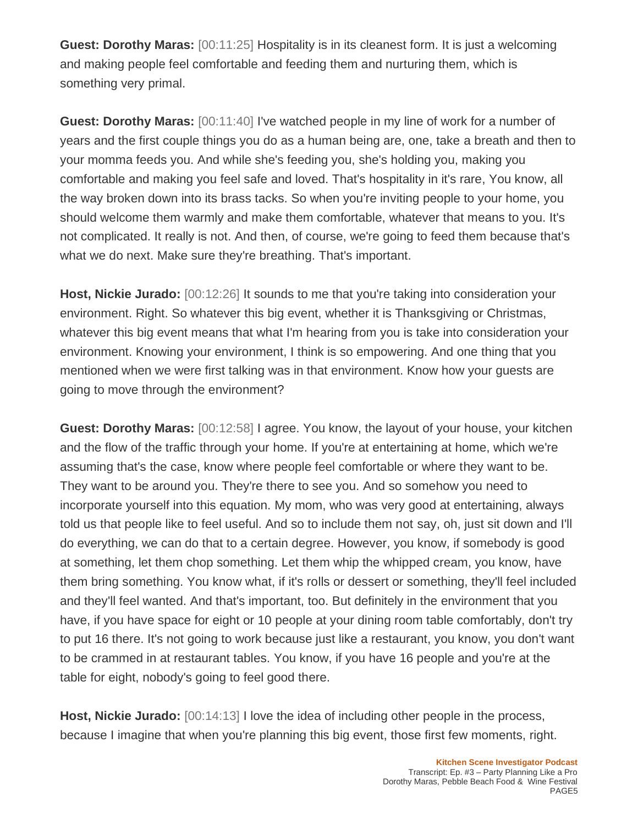**Guest: Dorothy Maras:** [00:11:25] Hospitality is in its cleanest form. It is just a welcoming and making people feel comfortable and feeding them and nurturing them, which is something very primal.

**Guest: Dorothy Maras:** [00:11:40] I've watched people in my line of work for a number of years and the first couple things you do as a human being are, one, take a breath and then to your momma feeds you. And while she's feeding you, she's holding you, making you comfortable and making you feel safe and loved. That's hospitality in it's rare, You know, all the way broken down into its brass tacks. So when you're inviting people to your home, you should welcome them warmly and make them comfortable, whatever that means to you. It's not complicated. It really is not. And then, of course, we're going to feed them because that's what we do next. Make sure they're breathing. That's important.

**Host, Nickie Jurado:** [00:12:26] It sounds to me that you're taking into consideration your environment. Right. So whatever this big event, whether it is Thanksgiving or Christmas, whatever this big event means that what I'm hearing from you is take into consideration your environment. Knowing your environment, I think is so empowering. And one thing that you mentioned when we were first talking was in that environment. Know how your guests are going to move through the environment?

**Guest: Dorothy Maras:** [00:12:58] I agree. You know, the layout of your house, your kitchen and the flow of the traffic through your home. If you're at entertaining at home, which we're assuming that's the case, know where people feel comfortable or where they want to be. They want to be around you. They're there to see you. And so somehow you need to incorporate yourself into this equation. My mom, who was very good at entertaining, always told us that people like to feel useful. And so to include them not say, oh, just sit down and I'll do everything, we can do that to a certain degree. However, you know, if somebody is good at something, let them chop something. Let them whip the whipped cream, you know, have them bring something. You know what, if it's rolls or dessert or something, they'll feel included and they'll feel wanted. And that's important, too. But definitely in the environment that you have, if you have space for eight or 10 people at your dining room table comfortably, don't try to put 16 there. It's not going to work because just like a restaurant, you know, you don't want to be crammed in at restaurant tables. You know, if you have 16 people and you're at the table for eight, nobody's going to feel good there.

**Host, Nickie Jurado:** [00:14:13] I love the idea of including other people in the process, because I imagine that when you're planning this big event, those first few moments, right.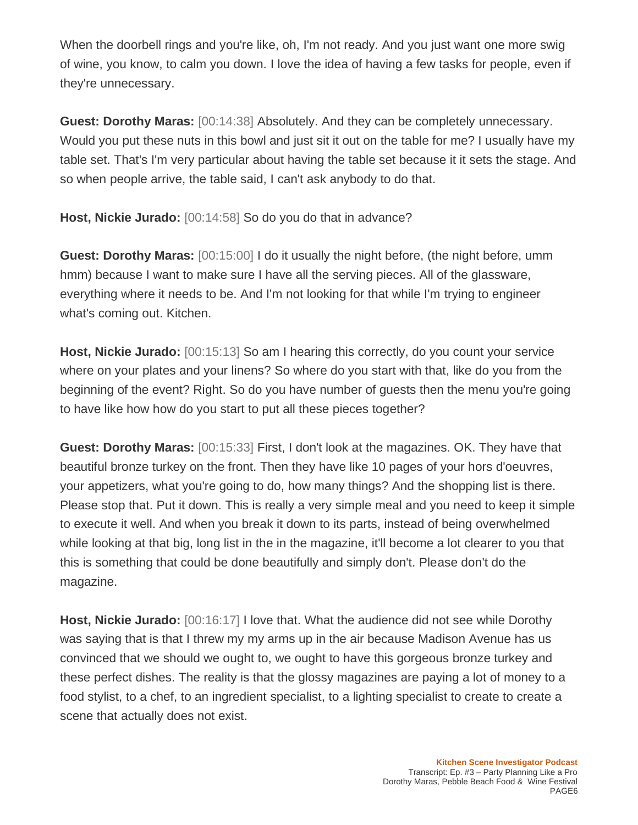When the doorbell rings and you're like, oh, I'm not ready. And you just want one more swig of wine, you know, to calm you down. I love the idea of having a few tasks for people, even if they're unnecessary.

**Guest: Dorothy Maras:** [00:14:38] Absolutely. And they can be completely unnecessary. Would you put these nuts in this bowl and just sit it out on the table for me? I usually have my table set. That's I'm very particular about having the table set because it it sets the stage. And so when people arrive, the table said, I can't ask anybody to do that.

**Host, Nickie Jurado:** [00:14:58] So do you do that in advance?

**Guest: Dorothy Maras:** [00:15:00] I do it usually the night before, (the night before, umm hmm) because I want to make sure I have all the serving pieces. All of the glassware, everything where it needs to be. And I'm not looking for that while I'm trying to engineer what's coming out. Kitchen.

**Host, Nickie Jurado:** [00:15:13] So am I hearing this correctly, do you count your service where on your plates and your linens? So where do you start with that, like do you from the beginning of the event? Right. So do you have number of guests then the menu you're going to have like how how do you start to put all these pieces together?

**Guest: Dorothy Maras:** [00:15:33] First, I don't look at the magazines. OK. They have that beautiful bronze turkey on the front. Then they have like 10 pages of your hors d'oeuvres, your appetizers, what you're going to do, how many things? And the shopping list is there. Please stop that. Put it down. This is really a very simple meal and you need to keep it simple to execute it well. And when you break it down to its parts, instead of being overwhelmed while looking at that big, long list in the in the magazine, it'll become a lot clearer to you that this is something that could be done beautifully and simply don't. Please don't do the magazine.

**Host, Nickie Jurado:** [00:16:17] I love that. What the audience did not see while Dorothy was saying that is that I threw my my arms up in the air because Madison Avenue has us convinced that we should we ought to, we ought to have this gorgeous bronze turkey and these perfect dishes. The reality is that the glossy magazines are paying a lot of money to a food stylist, to a chef, to an ingredient specialist, to a lighting specialist to create to create a scene that actually does not exist.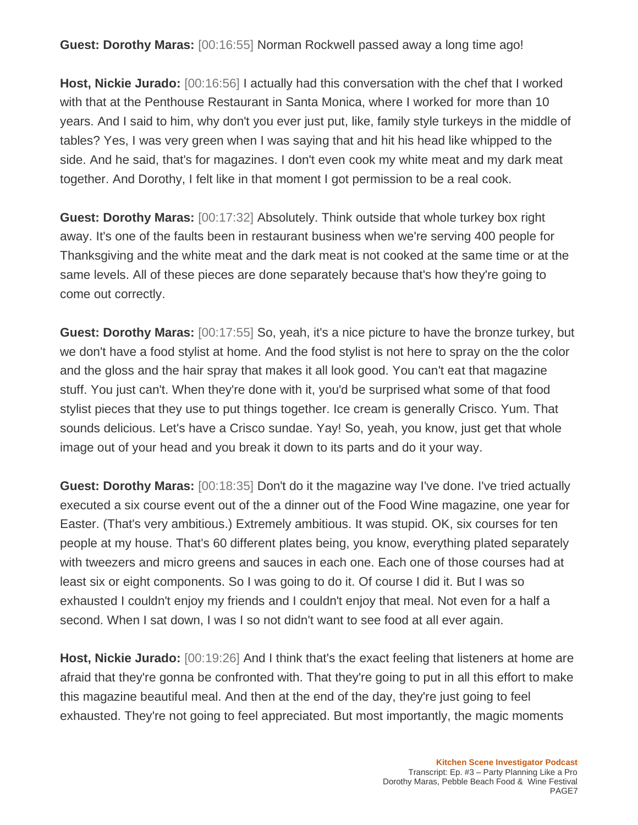**Guest: Dorothy Maras:** [00:16:55] Norman Rockwell passed away a long time ago!

**Host, Nickie Jurado:** [00:16:56] I actually had this conversation with the chef that I worked with that at the Penthouse Restaurant in Santa Monica, where I worked for more than 10 years. And I said to him, why don't you ever just put, like, family style turkeys in the middle of tables? Yes, I was very green when I was saying that and hit his head like whipped to the side. And he said, that's for magazines. I don't even cook my white meat and my dark meat together. And Dorothy, I felt like in that moment I got permission to be a real cook.

**Guest: Dorothy Maras:** [00:17:32] Absolutely. Think outside that whole turkey box right away. It's one of the faults been in restaurant business when we're serving 400 people for Thanksgiving and the white meat and the dark meat is not cooked at the same time or at the same levels. All of these pieces are done separately because that's how they're going to come out correctly.

**Guest: Dorothy Maras:** [00:17:55] So, yeah, it's a nice picture to have the bronze turkey, but we don't have a food stylist at home. And the food stylist is not here to spray on the the color and the gloss and the hair spray that makes it all look good. You can't eat that magazine stuff. You just can't. When they're done with it, you'd be surprised what some of that food stylist pieces that they use to put things together. Ice cream is generally Crisco. Yum. That sounds delicious. Let's have a Crisco sundae. Yay! So, yeah, you know, just get that whole image out of your head and you break it down to its parts and do it your way.

**Guest: Dorothy Maras:** [00:18:35] Don't do it the magazine way I've done. I've tried actually executed a six course event out of the a dinner out of the Food Wine magazine, one year for Easter. (That's very ambitious.) Extremely ambitious. It was stupid. OK, six courses for ten people at my house. That's 60 different plates being, you know, everything plated separately with tweezers and micro greens and sauces in each one. Each one of those courses had at least six or eight components. So I was going to do it. Of course I did it. But I was so exhausted I couldn't enjoy my friends and I couldn't enjoy that meal. Not even for a half a second. When I sat down, I was I so not didn't want to see food at all ever again.

**Host, Nickie Jurado:** [00:19:26] And I think that's the exact feeling that listeners at home are afraid that they're gonna be confronted with. That they're going to put in all this effort to make this magazine beautiful meal. And then at the end of the day, they're just going to feel exhausted. They're not going to feel appreciated. But most importantly, the magic moments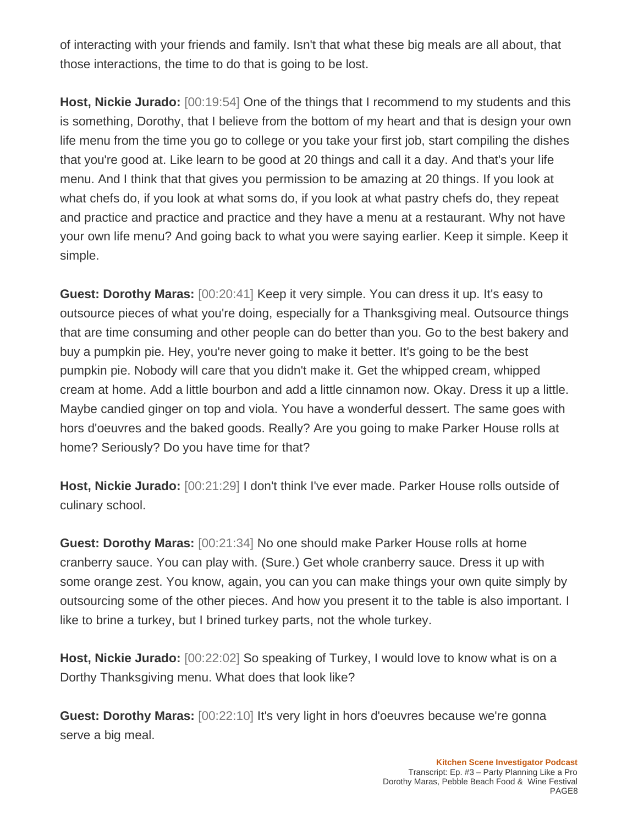of interacting with your friends and family. Isn't that what these big meals are all about, that those interactions, the time to do that is going to be lost.

**Host, Nickie Jurado:** [00:19:54] One of the things that I recommend to my students and this is something, Dorothy, that I believe from the bottom of my heart and that is design your own life menu from the time you go to college or you take your first job, start compiling the dishes that you're good at. Like learn to be good at 20 things and call it a day. And that's your life menu. And I think that that gives you permission to be amazing at 20 things. If you look at what chefs do, if you look at what soms do, if you look at what pastry chefs do, they repeat and practice and practice and practice and they have a menu at a restaurant. Why not have your own life menu? And going back to what you were saying earlier. Keep it simple. Keep it simple.

**Guest: Dorothy Maras:** [00:20:41] Keep it very simple. You can dress it up. It's easy to outsource pieces of what you're doing, especially for a Thanksgiving meal. Outsource things that are time consuming and other people can do better than you. Go to the best bakery and buy a pumpkin pie. Hey, you're never going to make it better. It's going to be the best pumpkin pie. Nobody will care that you didn't make it. Get the whipped cream, whipped cream at home. Add a little bourbon and add a little cinnamon now. Okay. Dress it up a little. Maybe candied ginger on top and viola. You have a wonderful dessert. The same goes with hors d'oeuvres and the baked goods. Really? Are you going to make Parker House rolls at home? Seriously? Do you have time for that?

**Host, Nickie Jurado:** [00:21:29] I don't think I've ever made. Parker House rolls outside of culinary school.

**Guest: Dorothy Maras:** [00:21:34] No one should make Parker House rolls at home cranberry sauce. You can play with. (Sure.) Get whole cranberry sauce. Dress it up with some orange zest. You know, again, you can you can make things your own quite simply by outsourcing some of the other pieces. And how you present it to the table is also important. I like to brine a turkey, but I brined turkey parts, not the whole turkey.

**Host, Nickie Jurado:** [00:22:02] So speaking of Turkey, I would love to know what is on a Dorthy Thanksgiving menu. What does that look like?

**Guest: Dorothy Maras:** [00:22:10] It's very light in hors d'oeuvres because we're gonna serve a big meal.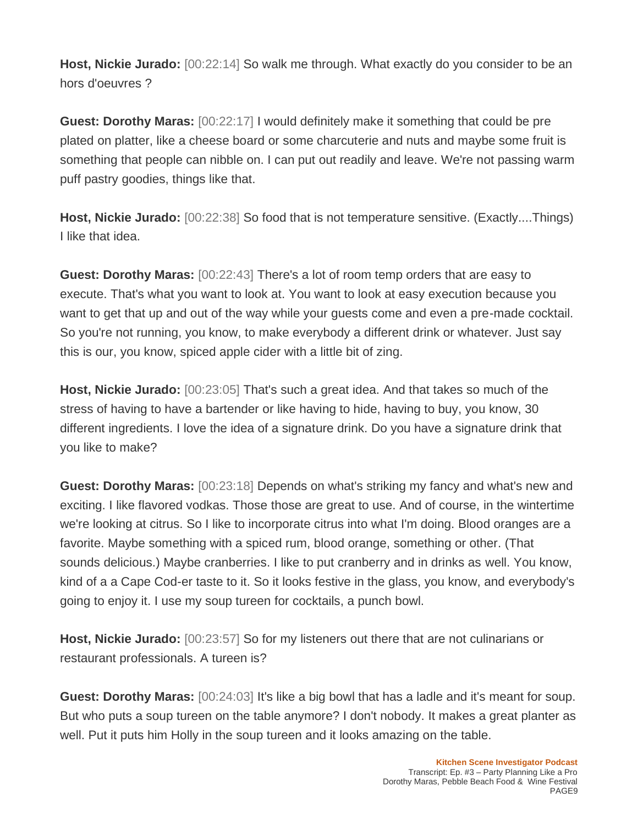**Host, Nickie Jurado:** [00:22:14] So walk me through. What exactly do you consider to be an hors d'oeuvres ?

**Guest: Dorothy Maras:** [00:22:17] I would definitely make it something that could be pre plated on platter, like a cheese board or some charcuterie and nuts and maybe some fruit is something that people can nibble on. I can put out readily and leave. We're not passing warm puff pastry goodies, things like that.

**Host, Nickie Jurado:** [00:22:38] So food that is not temperature sensitive. (Exactly....Things) I like that idea.

**Guest: Dorothy Maras:** [00:22:43] There's a lot of room temp orders that are easy to execute. That's what you want to look at. You want to look at easy execution because you want to get that up and out of the way while your guests come and even a pre-made cocktail. So you're not running, you know, to make everybody a different drink or whatever. Just say this is our, you know, spiced apple cider with a little bit of zing.

**Host, Nickie Jurado:** [00:23:05] That's such a great idea. And that takes so much of the stress of having to have a bartender or like having to hide, having to buy, you know, 30 different ingredients. I love the idea of a signature drink. Do you have a signature drink that you like to make?

**Guest: Dorothy Maras:** [00:23:18] Depends on what's striking my fancy and what's new and exciting. I like flavored vodkas. Those those are great to use. And of course, in the wintertime we're looking at citrus. So I like to incorporate citrus into what I'm doing. Blood oranges are a favorite. Maybe something with a spiced rum, blood orange, something or other. (That sounds delicious.) Maybe cranberries. I like to put cranberry and in drinks as well. You know, kind of a a Cape Cod-er taste to it. So it looks festive in the glass, you know, and everybody's going to enjoy it. I use my soup tureen for cocktails, a punch bowl.

**Host, Nickie Jurado:** [00:23:57] So for my listeners out there that are not culinarians or restaurant professionals. A tureen is?

**Guest: Dorothy Maras:**  $[00:24:03]$  It's like a big bowl that has a ladle and it's meant for soup. But who puts a soup tureen on the table anymore? I don't nobody. It makes a great planter as well. Put it puts him Holly in the soup tureen and it looks amazing on the table.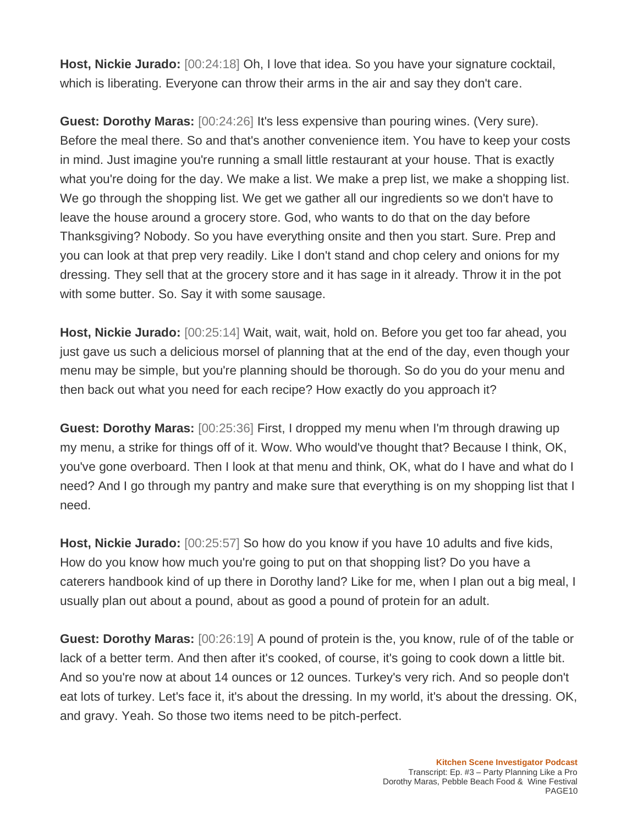**Host, Nickie Jurado:** [00:24:18] Oh, I love that idea. So you have your signature cocktail, which is liberating. Everyone can throw their arms in the air and say they don't care.

**Guest: Dorothy Maras:** [00:24:26] It's less expensive than pouring wines. (Very sure). Before the meal there. So and that's another convenience item. You have to keep your costs in mind. Just imagine you're running a small little restaurant at your house. That is exactly what you're doing for the day. We make a list. We make a prep list, we make a shopping list. We go through the shopping list. We get we gather all our ingredients so we don't have to leave the house around a grocery store. God, who wants to do that on the day before Thanksgiving? Nobody. So you have everything onsite and then you start. Sure. Prep and you can look at that prep very readily. Like I don't stand and chop celery and onions for my dressing. They sell that at the grocery store and it has sage in it already. Throw it in the pot with some butter. So. Say it with some sausage.

**Host, Nickie Jurado:** [00:25:14] Wait, wait, wait, hold on. Before you get too far ahead, you just gave us such a delicious morsel of planning that at the end of the day, even though your menu may be simple, but you're planning should be thorough. So do you do your menu and then back out what you need for each recipe? How exactly do you approach it?

**Guest: Dorothy Maras:** [00:25:36] First, I dropped my menu when I'm through drawing up my menu, a strike for things off of it. Wow. Who would've thought that? Because I think, OK, you've gone overboard. Then I look at that menu and think, OK, what do I have and what do I need? And I go through my pantry and make sure that everything is on my shopping list that I need.

**Host, Nickie Jurado:** [00:25:57] So how do you know if you have 10 adults and five kids, How do you know how much you're going to put on that shopping list? Do you have a caterers handbook kind of up there in Dorothy land? Like for me, when I plan out a big meal, I usually plan out about a pound, about as good a pound of protein for an adult.

**Guest: Dorothy Maras:** [00:26:19] A pound of protein is the, you know, rule of of the table or lack of a better term. And then after it's cooked, of course, it's going to cook down a little bit. And so you're now at about 14 ounces or 12 ounces. Turkey's very rich. And so people don't eat lots of turkey. Let's face it, it's about the dressing. In my world, it's about the dressing. OK, and gravy. Yeah. So those two items need to be pitch-perfect.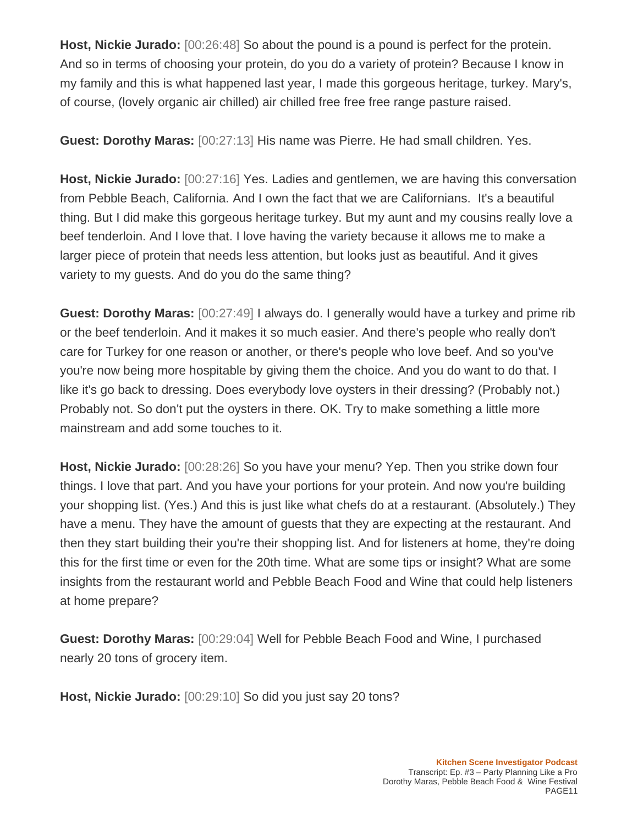**Host, Nickie Jurado:** [00:26:48] So about the pound is a pound is perfect for the protein. And so in terms of choosing your protein, do you do a variety of protein? Because I know in my family and this is what happened last year, I made this gorgeous heritage, turkey. Mary's, of course, (lovely organic air chilled) air chilled free free free range pasture raised.

**Guest: Dorothy Maras:** [00:27:13] His name was Pierre. He had small children. Yes.

**Host, Nickie Jurado:** [00:27:16] Yes. Ladies and gentlemen, we are having this conversation from Pebble Beach, California. And I own the fact that we are Californians. It's a beautiful thing. But I did make this gorgeous heritage turkey. But my aunt and my cousins really love a beef tenderloin. And I love that. I love having the variety because it allows me to make a larger piece of protein that needs less attention, but looks just as beautiful. And it gives variety to my guests. And do you do the same thing?

**Guest: Dorothy Maras:** [00:27:49] I always do. I generally would have a turkey and prime rib or the beef tenderloin. And it makes it so much easier. And there's people who really don't care for Turkey for one reason or another, or there's people who love beef. And so you've you're now being more hospitable by giving them the choice. And you do want to do that. I like it's go back to dressing. Does everybody love oysters in their dressing? (Probably not.) Probably not. So don't put the oysters in there. OK. Try to make something a little more mainstream and add some touches to it.

**Host, Nickie Jurado:** [00:28:26] So you have your menu? Yep. Then you strike down four things. I love that part. And you have your portions for your protein. And now you're building your shopping list. (Yes.) And this is just like what chefs do at a restaurant. (Absolutely.) They have a menu. They have the amount of guests that they are expecting at the restaurant. And then they start building their you're their shopping list. And for listeners at home, they're doing this for the first time or even for the 20th time. What are some tips or insight? What are some insights from the restaurant world and Pebble Beach Food and Wine that could help listeners at home prepare?

**Guest: Dorothy Maras:** [00:29:04] Well for Pebble Beach Food and Wine, I purchased nearly 20 tons of grocery item.

**Host, Nickie Jurado:** [00:29:10] So did you just say 20 tons?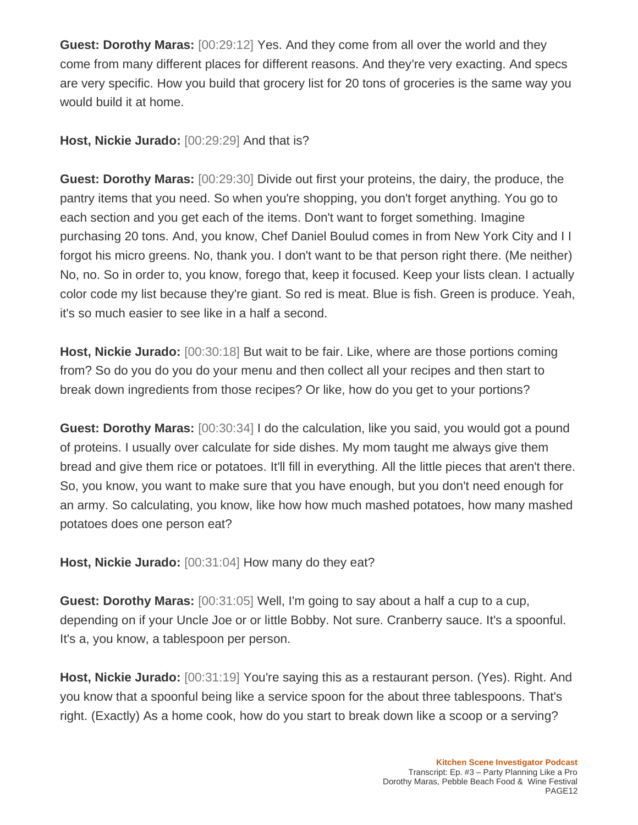**Guest: Dorothy Maras:** [00:29:12] Yes. And they come from all over the world and they come from many different places for different reasons. And they're very exacting. And specs are very specific. How you build that grocery list for 20 tons of groceries is the same way you would build it at home.

**Host, Nickie Jurado:** [00:29:29] And that is?

**Guest: Dorothy Maras:** [00:29:30] Divide out first your proteins, the dairy, the produce, the pantry items that you need. So when you're shopping, you don't forget anything. You go to each section and you get each of the items. Don't want to forget something. Imagine purchasing 20 tons. And, you know, Chef Daniel Boulud comes in from New York City and I I forgot his micro greens. No, thank you. I don't want to be that person right there. (Me neither) No, no. So in order to, you know, forego that, keep it focused. Keep your lists clean. I actually color code my list because they're giant. So red is meat. Blue is fish. Green is produce. Yeah, it's so much easier to see like in a half a second.

**Host, Nickie Jurado:** [00:30:18] But wait to be fair. Like, where are those portions coming from? So do you do you do your menu and then collect all your recipes and then start to break down ingredients from those recipes? Or like, how do you get to your portions?

**Guest: Dorothy Maras:** [00:30:34] I do the calculation, like you said, you would got a pound of proteins. I usually over calculate for side dishes. My mom taught me always give them bread and give them rice or potatoes. It'll fill in everything. All the little pieces that aren't there. So, you know, you want to make sure that you have enough, but you don't need enough for an army. So calculating, you know, like how how much mashed potatoes, how many mashed potatoes does one person eat?

**Host, Nickie Jurado:** [00:31:04] How many do they eat?

**Guest: Dorothy Maras:** [00:31:05] Well, I'm going to say about a half a cup to a cup, depending on if your Uncle Joe or or little Bobby. Not sure. Cranberry sauce. It's a spoonful. It's a, you know, a tablespoon per person.

**Host, Nickie Jurado:** [00:31:19] You're saying this as a restaurant person. (Yes). Right. And you know that a spoonful being like a service spoon for the about three tablespoons. That's right. (Exactly) As a home cook, how do you start to break down like a scoop or a serving?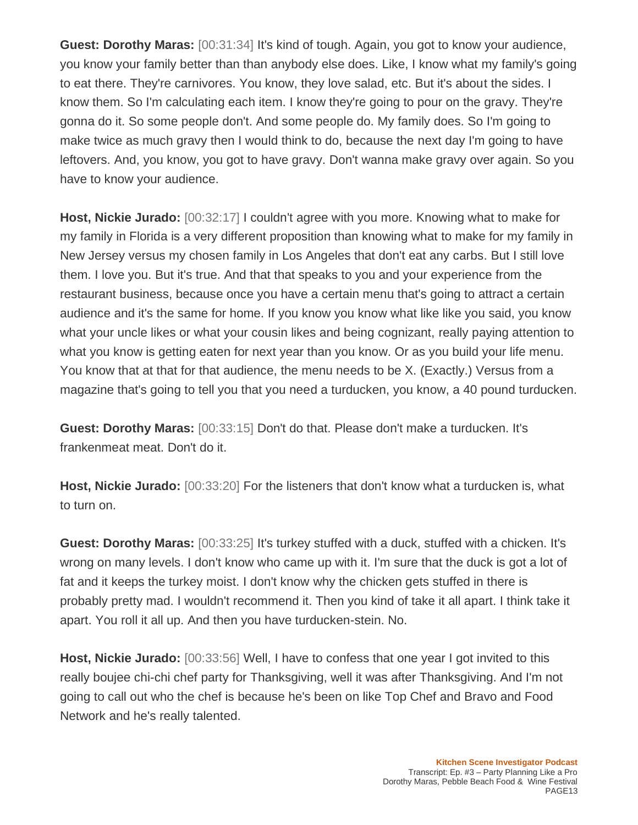**Guest: Dorothy Maras:** [00:31:34] It's kind of tough. Again, you got to know your audience, you know your family better than than anybody else does. Like, I know what my family's going to eat there. They're carnivores. You know, they love salad, etc. But it's about the sides. I know them. So I'm calculating each item. I know they're going to pour on the gravy. They're gonna do it. So some people don't. And some people do. My family does. So I'm going to make twice as much gravy then I would think to do, because the next day I'm going to have leftovers. And, you know, you got to have gravy. Don't wanna make gravy over again. So you have to know your audience.

**Host, Nickie Jurado:** [00:32:17] I couldn't agree with you more. Knowing what to make for my family in Florida is a very different proposition than knowing what to make for my family in New Jersey versus my chosen family in Los Angeles that don't eat any carbs. But I still love them. I love you. But it's true. And that that speaks to you and your experience from the restaurant business, because once you have a certain menu that's going to attract a certain audience and it's the same for home. If you know you know what like like you said, you know what your uncle likes or what your cousin likes and being cognizant, really paying attention to what you know is getting eaten for next year than you know. Or as you build your life menu. You know that at that for that audience, the menu needs to be X. (Exactly.) Versus from a magazine that's going to tell you that you need a turducken, you know, a 40 pound turducken.

**Guest: Dorothy Maras:** [00:33:15] Don't do that. Please don't make a turducken. It's frankenmeat meat. Don't do it.

**Host, Nickie Jurado:** [00:33:20] For the listeners that don't know what a turducken is, what to turn on.

**Guest: Dorothy Maras:** [00:33:25] It's turkey stuffed with a duck, stuffed with a chicken. It's wrong on many levels. I don't know who came up with it. I'm sure that the duck is got a lot of fat and it keeps the turkey moist. I don't know why the chicken gets stuffed in there is probably pretty mad. I wouldn't recommend it. Then you kind of take it all apart. I think take it apart. You roll it all up. And then you have turducken-stein. No.

**Host, Nickie Jurado:** [00:33:56] Well, I have to confess that one year I got invited to this really boujee chi-chi chef party for Thanksgiving, well it was after Thanksgiving. And I'm not going to call out who the chef is because he's been on like Top Chef and Bravo and Food Network and he's really talented.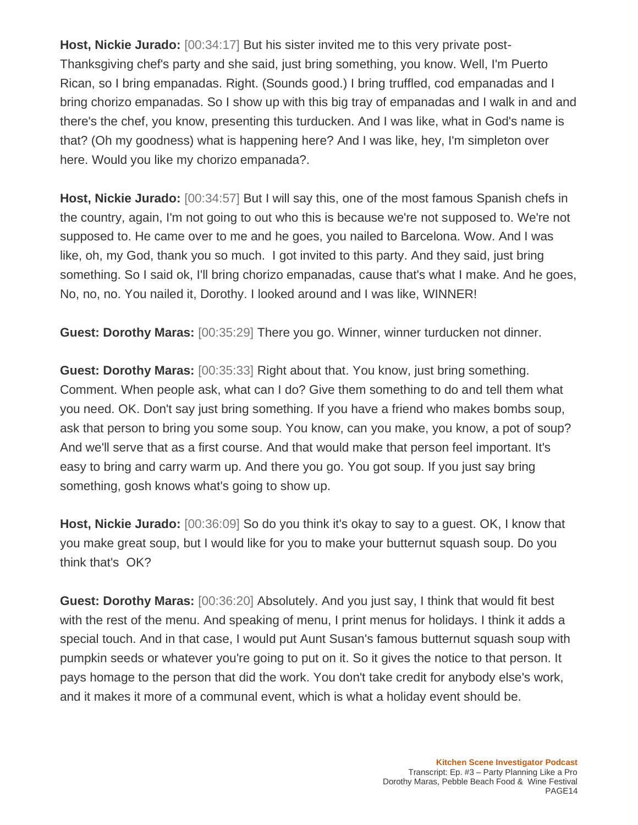**Host, Nickie Jurado:** [00:34:17] But his sister invited me to this very private post-Thanksgiving chef's party and she said, just bring something, you know. Well, I'm Puerto Rican, so I bring empanadas. Right. (Sounds good.) I bring truffled, cod empanadas and I bring chorizo empanadas. So I show up with this big tray of empanadas and I walk in and and there's the chef, you know, presenting this turducken. And I was like, what in God's name is that? (Oh my goodness) what is happening here? And I was like, hey, I'm simpleton over here. Would you like my chorizo empanada?.

**Host, Nickie Jurado:** [00:34:57] But I will say this, one of the most famous Spanish chefs in the country, again, I'm not going to out who this is because we're not supposed to. We're not supposed to. He came over to me and he goes, you nailed to Barcelona. Wow. And I was like, oh, my God, thank you so much. I got invited to this party. And they said, just bring something. So I said ok, I'll bring chorizo empanadas, cause that's what I make. And he goes, No, no, no. You nailed it, Dorothy. I looked around and I was like, WINNER!

**Guest: Dorothy Maras:** [00:35:29] There you go. Winner, winner turducken not dinner.

**Guest: Dorothy Maras:** [00:35:33] Right about that. You know, just bring something. Comment. When people ask, what can I do? Give them something to do and tell them what you need. OK. Don't say just bring something. If you have a friend who makes bombs soup, ask that person to bring you some soup. You know, can you make, you know, a pot of soup? And we'll serve that as a first course. And that would make that person feel important. It's easy to bring and carry warm up. And there you go. You got soup. If you just say bring something, gosh knows what's going to show up.

**Host, Nickie Jurado:** [00:36:09] So do you think it's okay to say to a guest. OK, I know that you make great soup, but I would like for you to make your butternut squash soup. Do you think that's OK?

**Guest: Dorothy Maras:** [00:36:20] Absolutely. And you just say, I think that would fit best with the rest of the menu. And speaking of menu, I print menus for holidays. I think it adds a special touch. And in that case, I would put Aunt Susan's famous butternut squash soup with pumpkin seeds or whatever you're going to put on it. So it gives the notice to that person. It pays homage to the person that did the work. You don't take credit for anybody else's work, and it makes it more of a communal event, which is what a holiday event should be.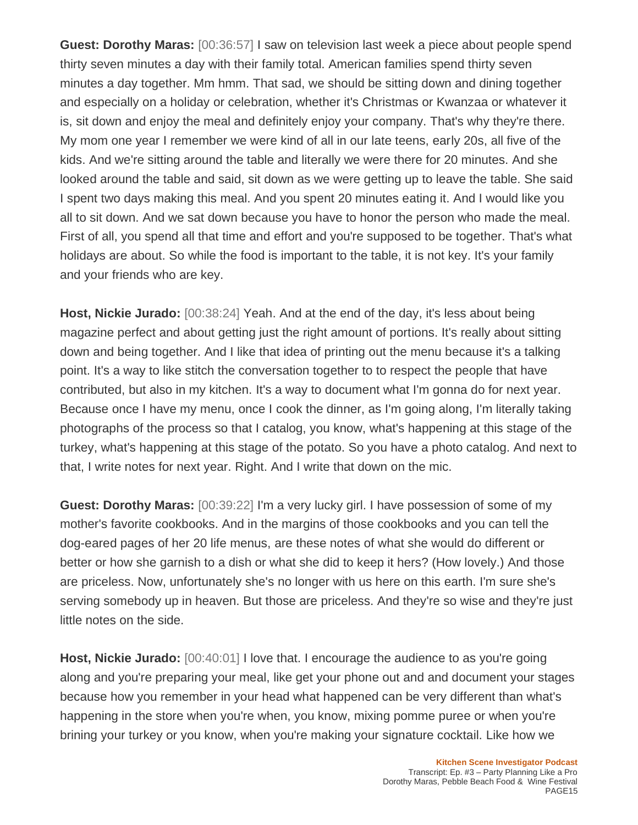**Guest: Dorothy Maras:** [00:36:57] I saw on television last week a piece about people spend thirty seven minutes a day with their family total. American families spend thirty seven minutes a day together. Mm hmm. That sad, we should be sitting down and dining together and especially on a holiday or celebration, whether it's Christmas or Kwanzaa or whatever it is, sit down and enjoy the meal and definitely enjoy your company. That's why they're there. My mom one year I remember we were kind of all in our late teens, early 20s, all five of the kids. And we're sitting around the table and literally we were there for 20 minutes. And she looked around the table and said, sit down as we were getting up to leave the table. She said I spent two days making this meal. And you spent 20 minutes eating it. And I would like you all to sit down. And we sat down because you have to honor the person who made the meal. First of all, you spend all that time and effort and you're supposed to be together. That's what holidays are about. So while the food is important to the table, it is not key. It's your family and your friends who are key.

**Host, Nickie Jurado:** [00:38:24] Yeah. And at the end of the day, it's less about being magazine perfect and about getting just the right amount of portions. It's really about sitting down and being together. And I like that idea of printing out the menu because it's a talking point. It's a way to like stitch the conversation together to to respect the people that have contributed, but also in my kitchen. It's a way to document what I'm gonna do for next year. Because once I have my menu, once I cook the dinner, as I'm going along, I'm literally taking photographs of the process so that I catalog, you know, what's happening at this stage of the turkey, what's happening at this stage of the potato. So you have a photo catalog. And next to that, I write notes for next year. Right. And I write that down on the mic.

**Guest: Dorothy Maras:** [00:39:22] I'm a very lucky girl. I have possession of some of my mother's favorite cookbooks. And in the margins of those cookbooks and you can tell the dog-eared pages of her 20 life menus, are these notes of what she would do different or better or how she garnish to a dish or what she did to keep it hers? (How lovely.) And those are priceless. Now, unfortunately she's no longer with us here on this earth. I'm sure she's serving somebody up in heaven. But those are priceless. And they're so wise and they're just little notes on the side.

**Host, Nickie Jurado:** [00:40:01] I love that. I encourage the audience to as you're going along and you're preparing your meal, like get your phone out and and document your stages because how you remember in your head what happened can be very different than what's happening in the store when you're when, you know, mixing pomme puree or when you're brining your turkey or you know, when you're making your signature cocktail. Like how we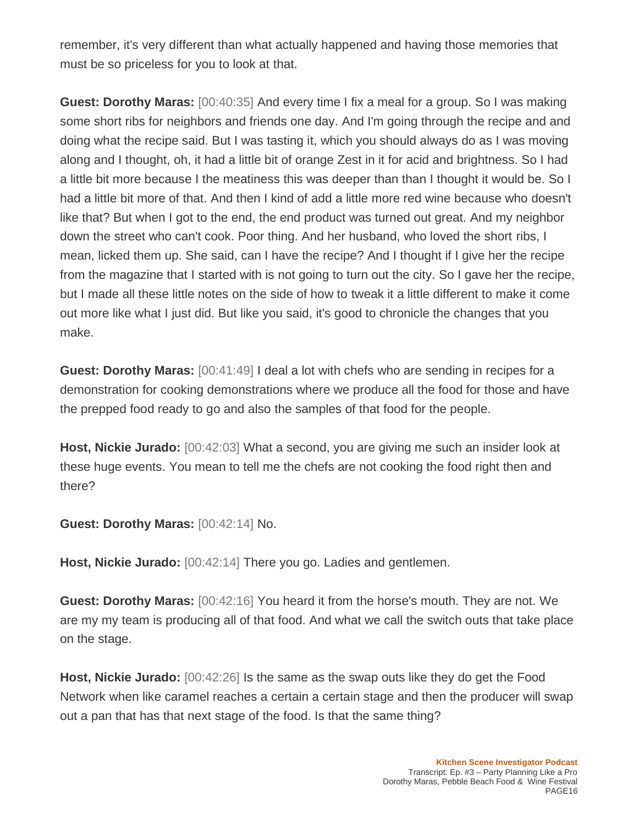remember, it's very different than what actually happened and having those memories that must be so priceless for you to look at that.

**Guest: Dorothy Maras:** [00:40:35] And every time I fix a meal for a group. So I was making some short ribs for neighbors and friends one day. And I'm going through the recipe and and doing what the recipe said. But I was tasting it, which you should always do as I was moving along and I thought, oh, it had a little bit of orange Zest in it for acid and brightness. So I had a little bit more because I the meatiness this was deeper than than I thought it would be. So I had a little bit more of that. And then I kind of add a little more red wine because who doesn't like that? But when I got to the end, the end product was turned out great. And my neighbor down the street who can't cook. Poor thing. And her husband, who loved the short ribs, I mean, licked them up. She said, can I have the recipe? And I thought if I give her the recipe from the magazine that I started with is not going to turn out the city. So I gave her the recipe, but I made all these little notes on the side of how to tweak it a little different to make it come out more like what I just did. But like you said, it's good to chronicle the changes that you make.

**Guest: Dorothy Maras:** [00:41:49] I deal a lot with chefs who are sending in recipes for a demonstration for cooking demonstrations where we produce all the food for those and have the prepped food ready to go and also the samples of that food for the people.

**Host, Nickie Jurado:** [00:42:03] What a second, you are giving me such an insider look at these huge events. You mean to tell me the chefs are not cooking the food right then and there?

**Guest: Dorothy Maras:** [00:42:14] No.

**Host, Nickie Jurado:** [00:42:14] There you go. Ladies and gentlemen.

**Guest: Dorothy Maras:** [00:42:16] You heard it from the horse's mouth. They are not. We are my my team is producing all of that food. And what we call the switch outs that take place on the stage.

**Host, Nickie Jurado:** [00:42:26] Is the same as the swap outs like they do get the Food Network when like caramel reaches a certain a certain stage and then the producer will swap out a pan that has that next stage of the food. Is that the same thing?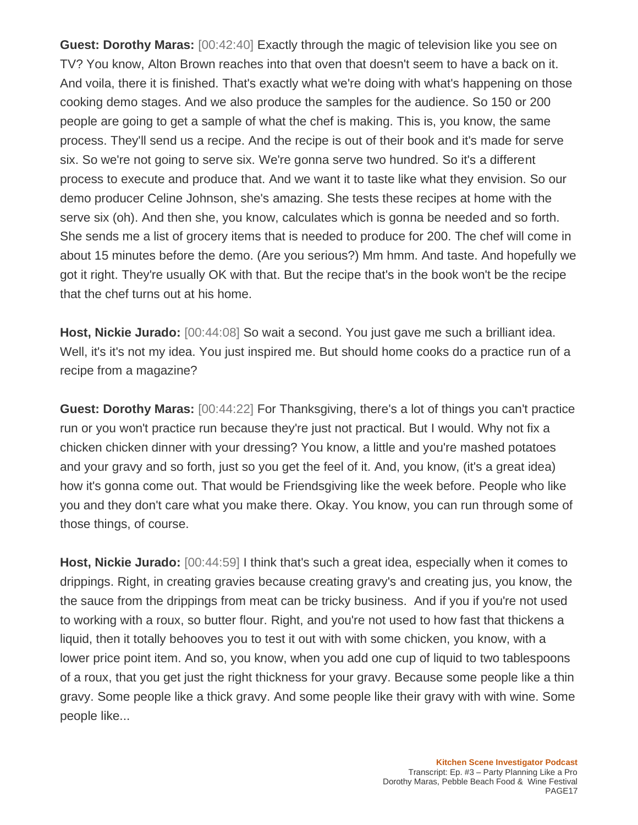**Guest: Dorothy Maras:** [00:42:40] Exactly through the magic of television like you see on TV? You know, Alton Brown reaches into that oven that doesn't seem to have a back on it. And voila, there it is finished. That's exactly what we're doing with what's happening on those cooking demo stages. And we also produce the samples for the audience. So 150 or 200 people are going to get a sample of what the chef is making. This is, you know, the same process. They'll send us a recipe. And the recipe is out of their book and it's made for serve six. So we're not going to serve six. We're gonna serve two hundred. So it's a different process to execute and produce that. And we want it to taste like what they envision. So our demo producer Celine Johnson, she's amazing. She tests these recipes at home with the serve six (oh). And then she, you know, calculates which is gonna be needed and so forth. She sends me a list of grocery items that is needed to produce for 200. The chef will come in about 15 minutes before the demo. (Are you serious?) Mm hmm. And taste. And hopefully we got it right. They're usually OK with that. But the recipe that's in the book won't be the recipe that the chef turns out at his home.

**Host, Nickie Jurado:** [00:44:08] So wait a second. You just gave me such a brilliant idea. Well, it's it's not my idea. You just inspired me. But should home cooks do a practice run of a recipe from a magazine?

**Guest: Dorothy Maras:** [00:44:22] For Thanksgiving, there's a lot of things you can't practice run or you won't practice run because they're just not practical. But I would. Why not fix a chicken chicken dinner with your dressing? You know, a little and you're mashed potatoes and your gravy and so forth, just so you get the feel of it. And, you know, (it's a great idea) how it's gonna come out. That would be Friendsgiving like the week before. People who like you and they don't care what you make there. Okay. You know, you can run through some of those things, of course.

**Host, Nickie Jurado:** [00:44:59] I think that's such a great idea, especially when it comes to drippings. Right, in creating gravies because creating gravy's and creating jus, you know, the the sauce from the drippings from meat can be tricky business. And if you if you're not used to working with a roux, so butter flour. Right, and you're not used to how fast that thickens a liquid, then it totally behooves you to test it out with with some chicken, you know, with a lower price point item. And so, you know, when you add one cup of liquid to two tablespoons of a roux, that you get just the right thickness for your gravy. Because some people like a thin gravy. Some people like a thick gravy. And some people like their gravy with with wine. Some people like...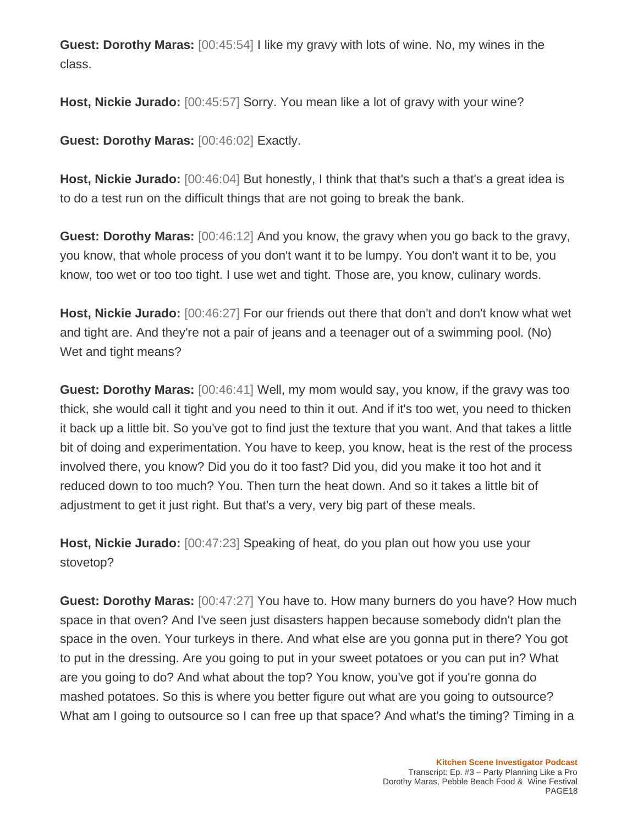**Guest: Dorothy Maras:** [00:45:54] I like my gravy with lots of wine. No, my wines in the class.

**Host, Nickie Jurado:** [00:45:57] Sorry. You mean like a lot of gravy with your wine?

**Guest: Dorothy Maras:** [00:46:02] Exactly.

**Host, Nickie Jurado:** [00:46:04] But honestly, I think that that's such a that's a great idea is to do a test run on the difficult things that are not going to break the bank.

**Guest: Dorothy Maras:** [00:46:12] And you know, the gravy when you go back to the gravy, you know, that whole process of you don't want it to be lumpy. You don't want it to be, you know, too wet or too too tight. I use wet and tight. Those are, you know, culinary words.

**Host, Nickie Jurado:** [00:46:27] For our friends out there that don't and don't know what wet and tight are. And they're not a pair of jeans and a teenager out of a swimming pool. (No) Wet and tight means?

**Guest: Dorothy Maras:** [00:46:41] Well, my mom would say, you know, if the gravy was too thick, she would call it tight and you need to thin it out. And if it's too wet, you need to thicken it back up a little bit. So you've got to find just the texture that you want. And that takes a little bit of doing and experimentation. You have to keep, you know, heat is the rest of the process involved there, you know? Did you do it too fast? Did you, did you make it too hot and it reduced down to too much? You. Then turn the heat down. And so it takes a little bit of adjustment to get it just right. But that's a very, very big part of these meals.

**Host, Nickie Jurado:** [00:47:23] Speaking of heat, do you plan out how you use your stovetop?

**Guest: Dorothy Maras:** [00:47:27] You have to. How many burners do you have? How much space in that oven? And I've seen just disasters happen because somebody didn't plan the space in the oven. Your turkeys in there. And what else are you gonna put in there? You got to put in the dressing. Are you going to put in your sweet potatoes or you can put in? What are you going to do? And what about the top? You know, you've got if you're gonna do mashed potatoes. So this is where you better figure out what are you going to outsource? What am I going to outsource so I can free up that space? And what's the timing? Timing in a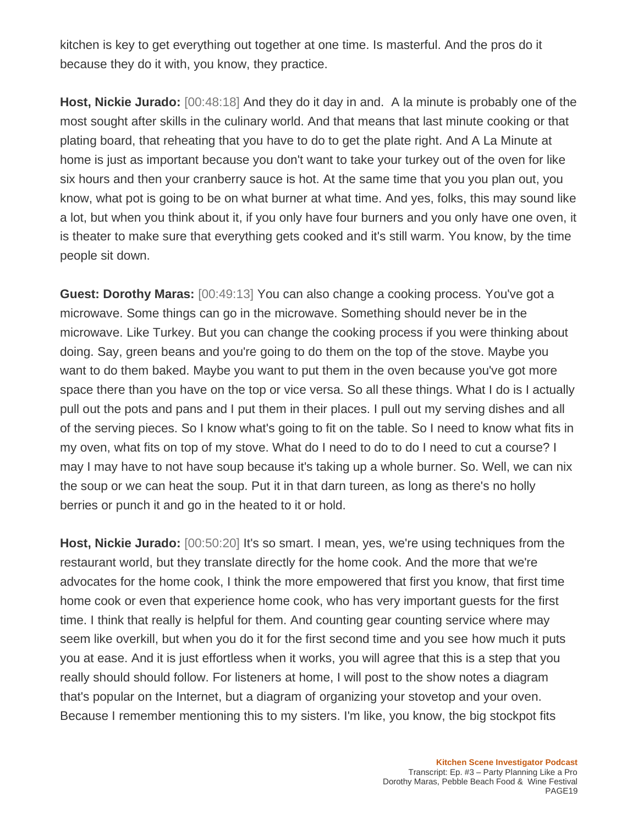kitchen is key to get everything out together at one time. Is masterful. And the pros do it because they do it with, you know, they practice.

**Host, Nickie Jurado:** [00:48:18] And they do it day in and. A la minute is probably one of the most sought after skills in the culinary world. And that means that last minute cooking or that plating board, that reheating that you have to do to get the plate right. And A La Minute at home is just as important because you don't want to take your turkey out of the oven for like six hours and then your cranberry sauce is hot. At the same time that you you plan out, you know, what pot is going to be on what burner at what time. And yes, folks, this may sound like a lot, but when you think about it, if you only have four burners and you only have one oven, it is theater to make sure that everything gets cooked and it's still warm. You know, by the time people sit down.

**Guest: Dorothy Maras:** [00:49:13] You can also change a cooking process. You've got a microwave. Some things can go in the microwave. Something should never be in the microwave. Like Turkey. But you can change the cooking process if you were thinking about doing. Say, green beans and you're going to do them on the top of the stove. Maybe you want to do them baked. Maybe you want to put them in the oven because you've got more space there than you have on the top or vice versa. So all these things. What I do is I actually pull out the pots and pans and I put them in their places. I pull out my serving dishes and all of the serving pieces. So I know what's going to fit on the table. So I need to know what fits in my oven, what fits on top of my stove. What do I need to do to do I need to cut a course? I may I may have to not have soup because it's taking up a whole burner. So. Well, we can nix the soup or we can heat the soup. Put it in that darn tureen, as long as there's no holly berries or punch it and go in the heated to it or hold.

**Host, Nickie Jurado:** [00:50:20] It's so smart. I mean, yes, we're using techniques from the restaurant world, but they translate directly for the home cook. And the more that we're advocates for the home cook, I think the more empowered that first you know, that first time home cook or even that experience home cook, who has very important guests for the first time. I think that really is helpful for them. And counting gear counting service where may seem like overkill, but when you do it for the first second time and you see how much it puts you at ease. And it is just effortless when it works, you will agree that this is a step that you really should should follow. For listeners at home, I will post to the show notes a diagram that's popular on the Internet, but a diagram of organizing your stovetop and your oven. Because I remember mentioning this to my sisters. I'm like, you know, the big stockpot fits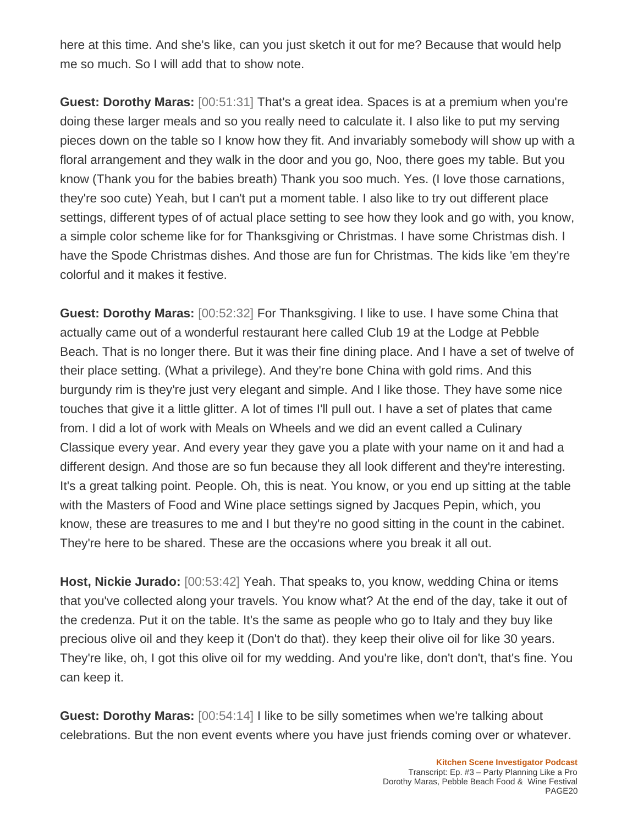here at this time. And she's like, can you just sketch it out for me? Because that would help me so much. So I will add that to show note.

**Guest: Dorothy Maras:** [00:51:31] That's a great idea. Spaces is at a premium when you're doing these larger meals and so you really need to calculate it. I also like to put my serving pieces down on the table so I know how they fit. And invariably somebody will show up with a floral arrangement and they walk in the door and you go, Noo, there goes my table. But you know (Thank you for the babies breath) Thank you soo much. Yes. (I love those carnations, they're soo cute) Yeah, but I can't put a moment table. I also like to try out different place settings, different types of of actual place setting to see how they look and go with, you know, a simple color scheme like for for Thanksgiving or Christmas. I have some Christmas dish. I have the Spode Christmas dishes. And those are fun for Christmas. The kids like 'em they're colorful and it makes it festive.

**Guest: Dorothy Maras:** [00:52:32] For Thanksgiving. I like to use. I have some China that actually came out of a wonderful restaurant here called Club 19 at the Lodge at Pebble Beach. That is no longer there. But it was their fine dining place. And I have a set of twelve of their place setting. (What a privilege). And they're bone China with gold rims. And this burgundy rim is they're just very elegant and simple. And I like those. They have some nice touches that give it a little glitter. A lot of times I'll pull out. I have a set of plates that came from. I did a lot of work with Meals on Wheels and we did an event called a Culinary Classique every year. And every year they gave you a plate with your name on it and had a different design. And those are so fun because they all look different and they're interesting. It's a great talking point. People. Oh, this is neat. You know, or you end up sitting at the table with the Masters of Food and Wine place settings signed by Jacques Pepin, which, you know, these are treasures to me and I but they're no good sitting in the count in the cabinet. They're here to be shared. These are the occasions where you break it all out.

**Host, Nickie Jurado:** [00:53:42] Yeah. That speaks to, you know, wedding China or items that you've collected along your travels. You know what? At the end of the day, take it out of the credenza. Put it on the table. It's the same as people who go to Italy and they buy like precious olive oil and they keep it (Don't do that). they keep their olive oil for like 30 years. They're like, oh, I got this olive oil for my wedding. And you're like, don't don't, that's fine. You can keep it.

**Guest: Dorothy Maras:** [00:54:14] I like to be silly sometimes when we're talking about celebrations. But the non event events where you have just friends coming over or whatever.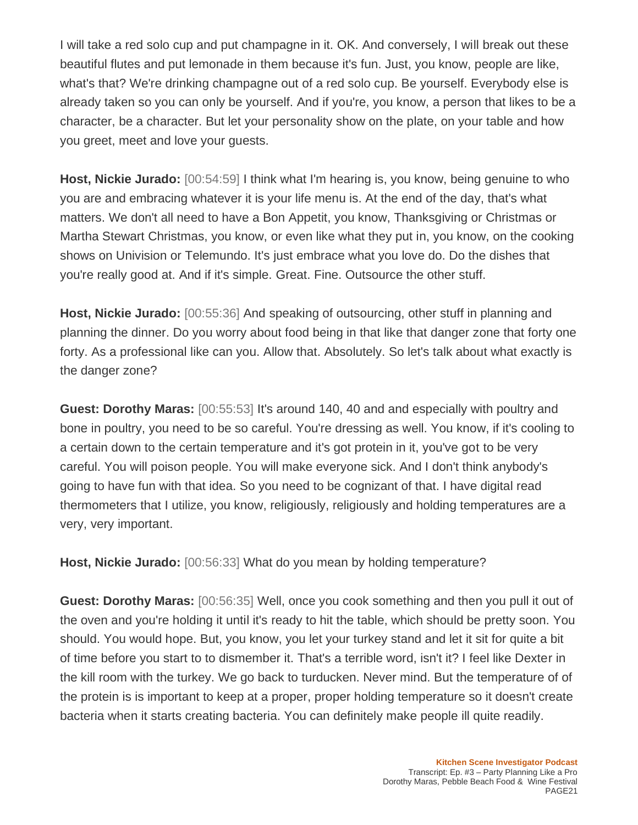I will take a red solo cup and put champagne in it. OK. And conversely, I will break out these beautiful flutes and put lemonade in them because it's fun. Just, you know, people are like, what's that? We're drinking champagne out of a red solo cup. Be yourself. Everybody else is already taken so you can only be yourself. And if you're, you know, a person that likes to be a character, be a character. But let your personality show on the plate, on your table and how you greet, meet and love your guests.

**Host, Nickie Jurado:** [00:54:59] I think what I'm hearing is, you know, being genuine to who you are and embracing whatever it is your life menu is. At the end of the day, that's what matters. We don't all need to have a Bon Appetit, you know, Thanksgiving or Christmas or Martha Stewart Christmas, you know, or even like what they put in, you know, on the cooking shows on Univision or Telemundo. It's just embrace what you love do. Do the dishes that you're really good at. And if it's simple. Great. Fine. Outsource the other stuff.

**Host, Nickie Jurado:** [00:55:36] And speaking of outsourcing, other stuff in planning and planning the dinner. Do you worry about food being in that like that danger zone that forty one forty. As a professional like can you. Allow that. Absolutely. So let's talk about what exactly is the danger zone?

**Guest: Dorothy Maras:** [00:55:53] It's around 140, 40 and and especially with poultry and bone in poultry, you need to be so careful. You're dressing as well. You know, if it's cooling to a certain down to the certain temperature and it's got protein in it, you've got to be very careful. You will poison people. You will make everyone sick. And I don't think anybody's going to have fun with that idea. So you need to be cognizant of that. I have digital read thermometers that I utilize, you know, religiously, religiously and holding temperatures are a very, very important.

**Host, Nickie Jurado:** [00:56:33] What do you mean by holding temperature?

**Guest: Dorothy Maras:** [00:56:35] Well, once you cook something and then you pull it out of the oven and you're holding it until it's ready to hit the table, which should be pretty soon. You should. You would hope. But, you know, you let your turkey stand and let it sit for quite a bit of time before you start to to dismember it. That's a terrible word, isn't it? I feel like Dexter in the kill room with the turkey. We go back to turducken. Never mind. But the temperature of of the protein is is important to keep at a proper, proper holding temperature so it doesn't create bacteria when it starts creating bacteria. You can definitely make people ill quite readily.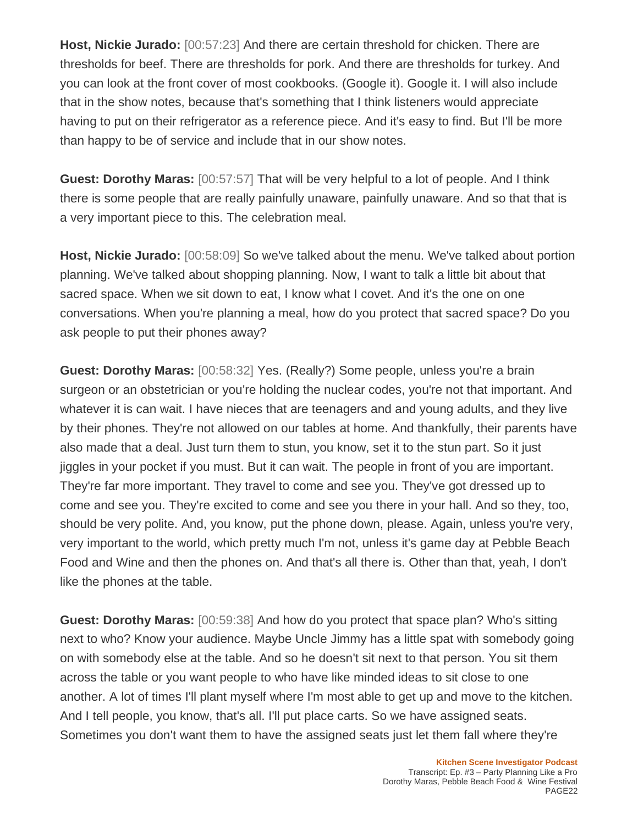**Host, Nickie Jurado:** [00:57:23] And there are certain threshold for chicken. There are thresholds for beef. There are thresholds for pork. And there are thresholds for turkey. And you can look at the front cover of most cookbooks. (Google it). Google it. I will also include that in the show notes, because that's something that I think listeners would appreciate having to put on their refrigerator as a reference piece. And it's easy to find. But I'll be more than happy to be of service and include that in our show notes.

**Guest: Dorothy Maras:** [00:57:57] That will be very helpful to a lot of people. And I think there is some people that are really painfully unaware, painfully unaware. And so that that is a very important piece to this. The celebration meal.

**Host, Nickie Jurado:** [00:58:09] So we've talked about the menu. We've talked about portion planning. We've talked about shopping planning. Now, I want to talk a little bit about that sacred space. When we sit down to eat, I know what I covet. And it's the one on one conversations. When you're planning a meal, how do you protect that sacred space? Do you ask people to put their phones away?

**Guest: Dorothy Maras:** [00:58:32] Yes. (Really?) Some people, unless you're a brain surgeon or an obstetrician or you're holding the nuclear codes, you're not that important. And whatever it is can wait. I have nieces that are teenagers and and young adults, and they live by their phones. They're not allowed on our tables at home. And thankfully, their parents have also made that a deal. Just turn them to stun, you know, set it to the stun part. So it just jiggles in your pocket if you must. But it can wait. The people in front of you are important. They're far more important. They travel to come and see you. They've got dressed up to come and see you. They're excited to come and see you there in your hall. And so they, too, should be very polite. And, you know, put the phone down, please. Again, unless you're very, very important to the world, which pretty much I'm not, unless it's game day at Pebble Beach Food and Wine and then the phones on. And that's all there is. Other than that, yeah, I don't like the phones at the table.

**Guest: Dorothy Maras:** [00:59:38] And how do you protect that space plan? Who's sitting next to who? Know your audience. Maybe Uncle Jimmy has a little spat with somebody going on with somebody else at the table. And so he doesn't sit next to that person. You sit them across the table or you want people to who have like minded ideas to sit close to one another. A lot of times I'll plant myself where I'm most able to get up and move to the kitchen. And I tell people, you know, that's all. I'll put place carts. So we have assigned seats. Sometimes you don't want them to have the assigned seats just let them fall where they're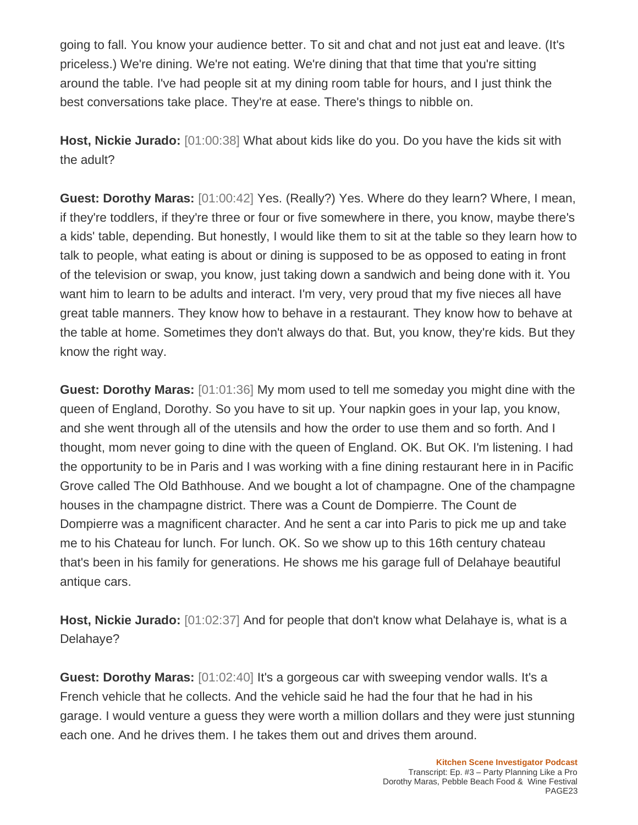going to fall. You know your audience better. To sit and chat and not just eat and leave. (It's priceless.) We're dining. We're not eating. We're dining that that time that you're sitting around the table. I've had people sit at my dining room table for hours, and I just think the best conversations take place. They're at ease. There's things to nibble on.

**Host, Nickie Jurado:** [01:00:38] What about kids like do you. Do you have the kids sit with the adult?

**Guest: Dorothy Maras:** [01:00:42] Yes. (Really?) Yes. Where do they learn? Where, I mean, if they're toddlers, if they're three or four or five somewhere in there, you know, maybe there's a kids' table, depending. But honestly, I would like them to sit at the table so they learn how to talk to people, what eating is about or dining is supposed to be as opposed to eating in front of the television or swap, you know, just taking down a sandwich and being done with it. You want him to learn to be adults and interact. I'm very, very proud that my five nieces all have great table manners. They know how to behave in a restaurant. They know how to behave at the table at home. Sometimes they don't always do that. But, you know, they're kids. But they know the right way.

**Guest: Dorothy Maras:** [01:01:36] My mom used to tell me someday you might dine with the queen of England, Dorothy. So you have to sit up. Your napkin goes in your lap, you know, and she went through all of the utensils and how the order to use them and so forth. And I thought, mom never going to dine with the queen of England. OK. But OK. I'm listening. I had the opportunity to be in Paris and I was working with a fine dining restaurant here in in Pacific Grove called The Old Bathhouse. And we bought a lot of champagne. One of the champagne houses in the champagne district. There was a Count de Dompierre. The Count de Dompierre was a magnificent character. And he sent a car into Paris to pick me up and take me to his Chateau for lunch. For lunch. OK. So we show up to this 16th century chateau that's been in his family for generations. He shows me his garage full of Delahaye beautiful antique cars.

**Host, Nickie Jurado:** [01:02:37] And for people that don't know what Delahaye is, what is a Delahaye?

**Guest: Dorothy Maras:** [01:02:40] It's a gorgeous car with sweeping vendor walls. It's a French vehicle that he collects. And the vehicle said he had the four that he had in his garage. I would venture a guess they were worth a million dollars and they were just stunning each one. And he drives them. I he takes them out and drives them around.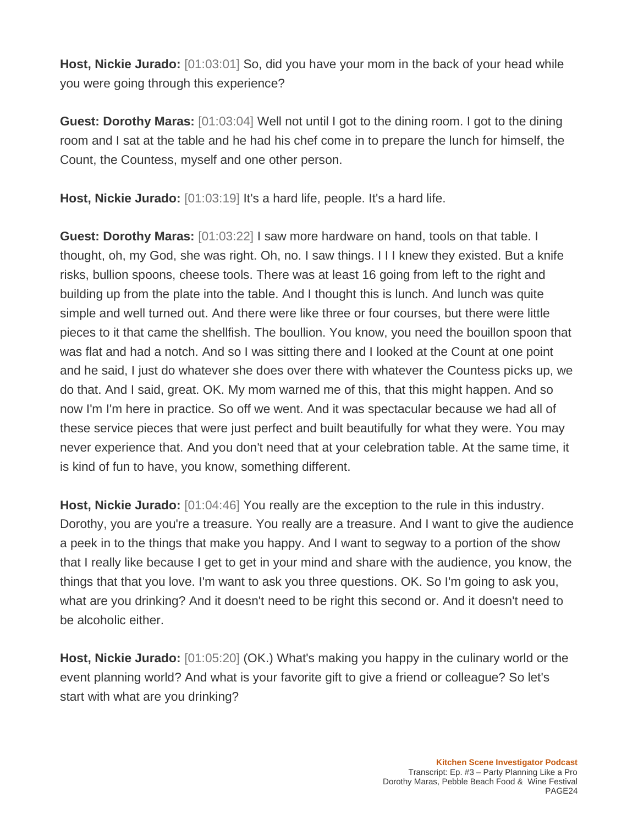**Host, Nickie Jurado:** [01:03:01] So, did you have your mom in the back of your head while you were going through this experience?

**Guest: Dorothy Maras:** [01:03:04] Well not until I got to the dining room. I got to the dining room and I sat at the table and he had his chef come in to prepare the lunch for himself, the Count, the Countess, myself and one other person.

**Host, Nickie Jurado:** [01:03:19] It's a hard life, people. It's a hard life.

**Guest: Dorothy Maras:** [01:03:22] I saw more hardware on hand, tools on that table. I thought, oh, my God, she was right. Oh, no. I saw things. I I I knew they existed. But a knife risks, bullion spoons, cheese tools. There was at least 16 going from left to the right and building up from the plate into the table. And I thought this is lunch. And lunch was quite simple and well turned out. And there were like three or four courses, but there were little pieces to it that came the shellfish. The boullion. You know, you need the bouillon spoon that was flat and had a notch. And so I was sitting there and I looked at the Count at one point and he said, I just do whatever she does over there with whatever the Countess picks up, we do that. And I said, great. OK. My mom warned me of this, that this might happen. And so now I'm I'm here in practice. So off we went. And it was spectacular because we had all of these service pieces that were just perfect and built beautifully for what they were. You may never experience that. And you don't need that at your celebration table. At the same time, it is kind of fun to have, you know, something different.

**Host, Nickie Jurado:** [01:04:46] You really are the exception to the rule in this industry. Dorothy, you are you're a treasure. You really are a treasure. And I want to give the audience a peek in to the things that make you happy. And I want to segway to a portion of the show that I really like because I get to get in your mind and share with the audience, you know, the things that that you love. I'm want to ask you three questions. OK. So I'm going to ask you, what are you drinking? And it doesn't need to be right this second or. And it doesn't need to be alcoholic either.

**Host, Nickie Jurado:** [01:05:20] (OK.) What's making you happy in the culinary world or the event planning world? And what is your favorite gift to give a friend or colleague? So let's start with what are you drinking?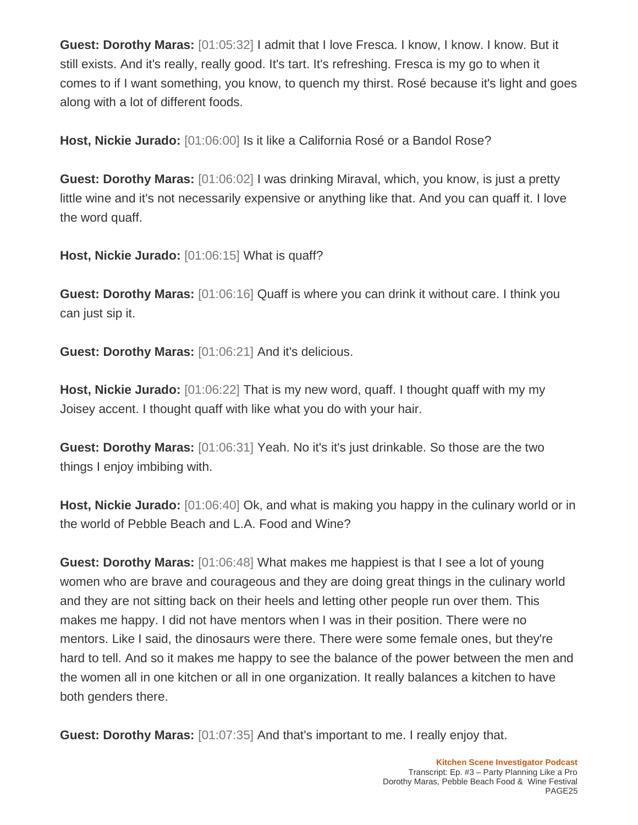**Guest: Dorothy Maras:** [01:05:32] I admit that I love Fresca. I know, I know. I know. But it still exists. And it's really, really good. It's tart. It's refreshing. Fresca is my go to when it comes to if I want something, you know, to quench my thirst. Rosé because it's light and goes along with a lot of different foods.

**Host, Nickie Jurado:** [01:06:00] Is it like a California Rosé or a Bandol Rose?

**Guest: Dorothy Maras:** [01:06:02] I was drinking Miraval, which, you know, is just a pretty little wine and it's not necessarily expensive or anything like that. And you can quaff it. I love the word quaff.

**Host, Nickie Jurado:** [01:06:15] What is quaff?

**Guest: Dorothy Maras:** [01:06:16] Quaff is where you can drink it without care. I think you can just sip it.

**Guest: Dorothy Maras:** [01:06:21] And it's delicious.

**Host, Nickie Jurado:** [01:06:22] That is my new word, quaff. I thought quaff with my my Joisey accent. I thought quaff with like what you do with your hair.

**Guest: Dorothy Maras:** [01:06:31] Yeah. No it's it's just drinkable. So those are the two things I enjoy imbibing with.

**Host, Nickie Jurado:** [01:06:40] Ok, and what is making you happy in the culinary world or in the world of Pebble Beach and L.A. Food and Wine?

**Guest: Dorothy Maras:** [01:06:48] What makes me happiest is that I see a lot of young women who are brave and courageous and they are doing great things in the culinary world and they are not sitting back on their heels and letting other people run over them. This makes me happy. I did not have mentors when I was in their position. There were no mentors. Like I said, the dinosaurs were there. There were some female ones, but they're hard to tell. And so it makes me happy to see the balance of the power between the men and the women all in one kitchen or all in one organization. It really balances a kitchen to have both genders there.

**Guest: Dorothy Maras:** [01:07:35] And that's important to me. I really enjoy that.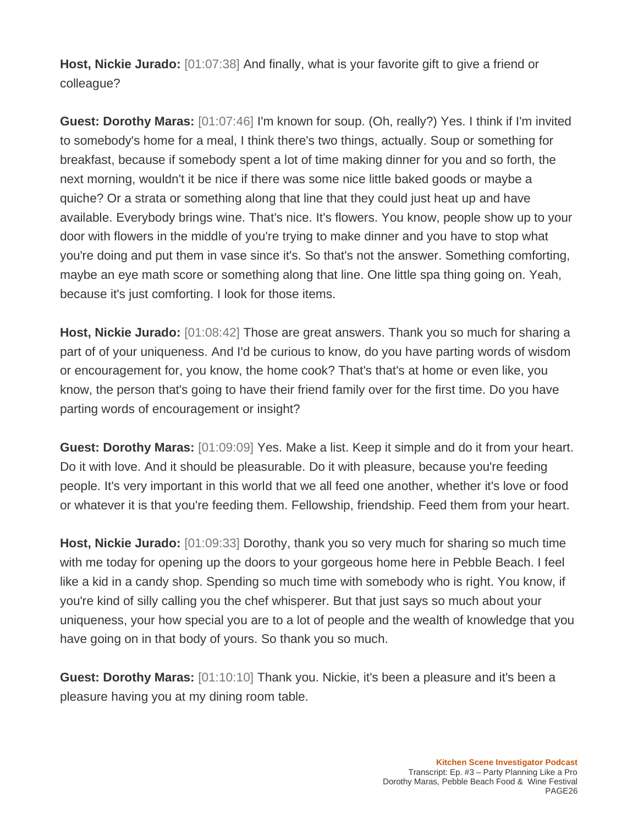**Host, Nickie Jurado:** [01:07:38] And finally, what is your favorite gift to give a friend or colleague?

**Guest: Dorothy Maras:** [01:07:46] I'm known for soup. (Oh, really?) Yes. I think if I'm invited to somebody's home for a meal, I think there's two things, actually. Soup or something for breakfast, because if somebody spent a lot of time making dinner for you and so forth, the next morning, wouldn't it be nice if there was some nice little baked goods or maybe a quiche? Or a strata or something along that line that they could just heat up and have available. Everybody brings wine. That's nice. It's flowers. You know, people show up to your door with flowers in the middle of you're trying to make dinner and you have to stop what you're doing and put them in vase since it's. So that's not the answer. Something comforting, maybe an eye math score or something along that line. One little spa thing going on. Yeah, because it's just comforting. I look for those items.

**Host, Nickie Jurado:** [01:08:42] Those are great answers. Thank you so much for sharing a part of of your uniqueness. And I'd be curious to know, do you have parting words of wisdom or encouragement for, you know, the home cook? That's that's at home or even like, you know, the person that's going to have their friend family over for the first time. Do you have parting words of encouragement or insight?

**Guest: Dorothy Maras:** [01:09:09] Yes. Make a list. Keep it simple and do it from your heart. Do it with love. And it should be pleasurable. Do it with pleasure, because you're feeding people. It's very important in this world that we all feed one another, whether it's love or food or whatever it is that you're feeding them. Fellowship, friendship. Feed them from your heart.

**Host, Nickie Jurado:** [01:09:33] Dorothy, thank you so very much for sharing so much time with me today for opening up the doors to your gorgeous home here in Pebble Beach. I feel like a kid in a candy shop. Spending so much time with somebody who is right. You know, if you're kind of silly calling you the chef whisperer. But that just says so much about your uniqueness, your how special you are to a lot of people and the wealth of knowledge that you have going on in that body of yours. So thank you so much.

**Guest: Dorothy Maras:** [01:10:10] Thank you. Nickie, it's been a pleasure and it's been a pleasure having you at my dining room table.